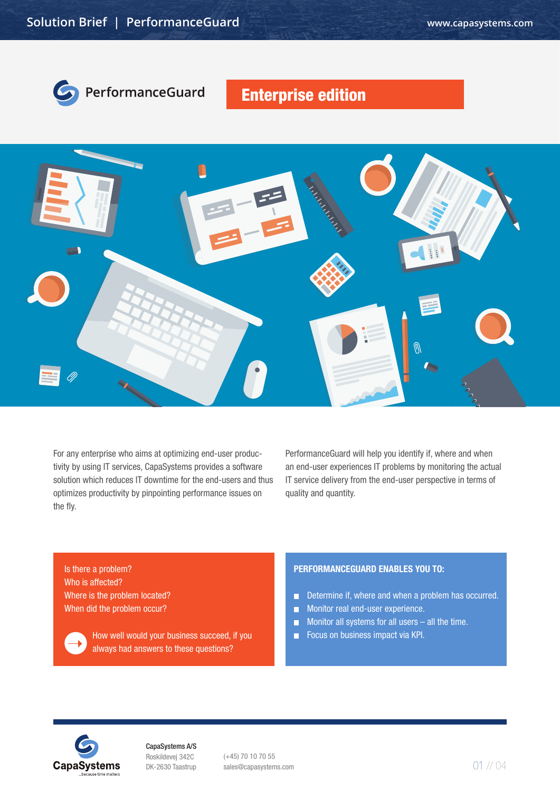

# Enterprise edition



For any enterprise who aims at optimizing end-user productivity by using IT services, CapaSystems provides a software solution which reduces IT downtime for the end-users and thus optimizes productivity by pinpointing performance issues on the fly.

PerformanceGuard will help you identify if, where and when an end-user experiences IT problems by monitoring the actual IT service delivery from the end-user perspective in terms of quality and quantity.

Is there a problem? Who is affected? Where is the problem located? When did the problem occur?



How well would your business succeed, if you always had answers to these questions?

## PERFORMANCEGUARD ENABLES YOU TO:

- Determine if, where and when a problem has occurred.
- Monitor real end-user experience.  $\blacksquare$
- $\Box$ Monitor all systems for all users – all the time.
- Focus on business impact via KPI.  $\mathbf{r}$



CapaSystems A/S Roskildevej 342C DK-2630 Taastrup

(+45) 70 10 70 55 sales@capasystems.com 01 // 04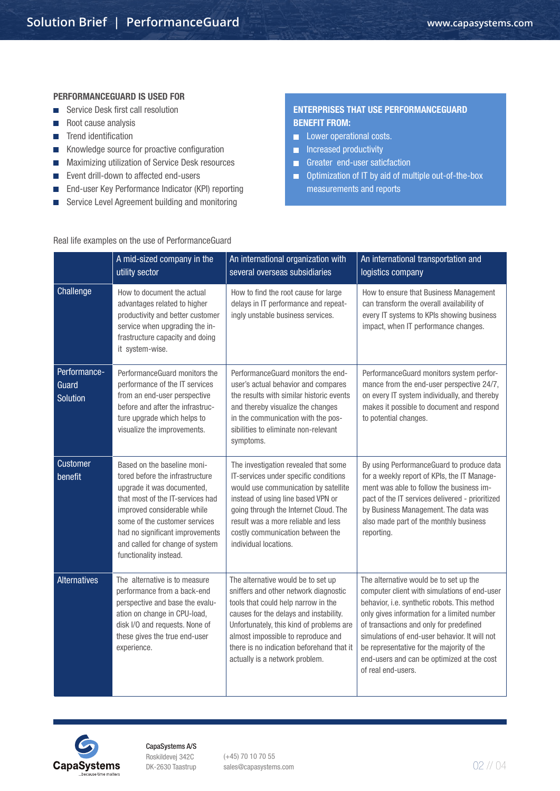#### PERFORMANCEGUARD IS USED FOR

- Service Desk first call resolution
- Root cause analysis
- **Trend identification**
- Knowledge source for proactive configuration  $\mathcal{L}_{\mathcal{A}}$
- Maximizing utilization of Service Desk resources  $\mathcal{L}^{\mathcal{A}}$
- Event drill-down to affected end-users  $\mathcal{L}_{\mathcal{A}}$
- End-user Key Performance Indicator (KPI) reporting  $\mathcal{L}_{\mathcal{A}}$
- Service Level Agreement building and monitoring  $\mathcal{L}_{\mathcal{A}}$

## ENTERPRISES THAT USE PERFORMANCEGUARD BENEFIT FROM:

- **Lower operational costs.**
- **Increased productivity**
- Greater end-user saticfaction
- Optimization of IT by aid of multiple out-of-the-box measurements and reports

## Real life examples on the use of PerformanceGuard

|                                          | A mid-sized company in the<br>utility sector                                                                                                                                                                                                                                                     | An international organization with<br>several overseas subsidiaries                                                                                                                                                                                                                                                           | An international transportation and<br>logistics company                                                                                                                                                                                                                                                                                                                                           |
|------------------------------------------|--------------------------------------------------------------------------------------------------------------------------------------------------------------------------------------------------------------------------------------------------------------------------------------------------|-------------------------------------------------------------------------------------------------------------------------------------------------------------------------------------------------------------------------------------------------------------------------------------------------------------------------------|----------------------------------------------------------------------------------------------------------------------------------------------------------------------------------------------------------------------------------------------------------------------------------------------------------------------------------------------------------------------------------------------------|
| Challenge                                | How to document the actual<br>advantages related to higher<br>productivity and better customer<br>service when upgrading the in-<br>frastructure capacity and doing<br>it system-wise.                                                                                                           | How to find the root cause for large<br>delays in IT performance and repeat-<br>ingly unstable business services.                                                                                                                                                                                                             | How to ensure that Business Management<br>can transform the overall availability of<br>every IT systems to KPIs showing business<br>impact, when IT performance changes.                                                                                                                                                                                                                           |
| Performance-<br>Guard<br><b>Solution</b> | PerformanceGuard monitors the<br>performance of the IT services<br>from an end-user perspective<br>before and after the infrastruc-<br>ture upgrade which helps to<br>visualize the improvements.                                                                                                | PerformanceGuard monitors the end-<br>user's actual behavior and compares<br>the results with similar historic events<br>and thereby visualize the changes<br>in the communication with the pos-<br>sibilities to eliminate non-relevant<br>symptoms.                                                                         | PerformanceGuard monitors system perfor-<br>mance from the end-user perspective 24/7,<br>on every IT system individually, and thereby<br>makes it possible to document and respond<br>to potential changes.                                                                                                                                                                                        |
| Customer<br>benefit                      | Based on the baseline moni-<br>tored before the infrastructure<br>upgrade it was documented,<br>that most of the IT-services had<br>improved considerable while<br>some of the customer services<br>had no significant improvements<br>and called for change of system<br>functionality instead. | The investigation revealed that some<br>IT-services under specific conditions<br>would use communication by satellite<br>instead of using line based VPN or<br>going through the Internet Cloud. The<br>result was a more reliable and less<br>costly communication between the<br>individual locations.                      | By using PerformanceGuard to produce data<br>for a weekly report of KPIs, the IT Manage-<br>ment was able to follow the business im-<br>pact of the IT services delivered - prioritized<br>by Business Management. The data was<br>also made part of the monthly business<br>reporting.                                                                                                            |
| <b>Alternatives</b>                      | The alternative is to measure<br>performance from a back-end<br>perspective and base the evalu-<br>ation on change in CPU-load,<br>disk I/O and requests. None of<br>these gives the true end-user<br>experience.                                                                                | The alternative would be to set up<br>sniffers and other network diagnostic<br>tools that could help narrow in the<br>causes for the delays and instability.<br>Unfortunately, this kind of problems are<br>almost impossible to reproduce and<br>there is no indication beforehand that it<br>actually is a network problem. | The alternative would be to set up the<br>computer client with simulations of end-user<br>behavior, i.e. synthetic robots. This method<br>only gives information for a limited number<br>of transactions and only for predefined<br>simulations of end-user behavior. It will not<br>be representative for the majority of the<br>end-users and can be optimized at the cost<br>of real end-users. |



CapaSystems A/S Roskildevej 342C DK-2630 Taastrup

(+45) 70 10 70 55 sales@capasystems.com 02 // 04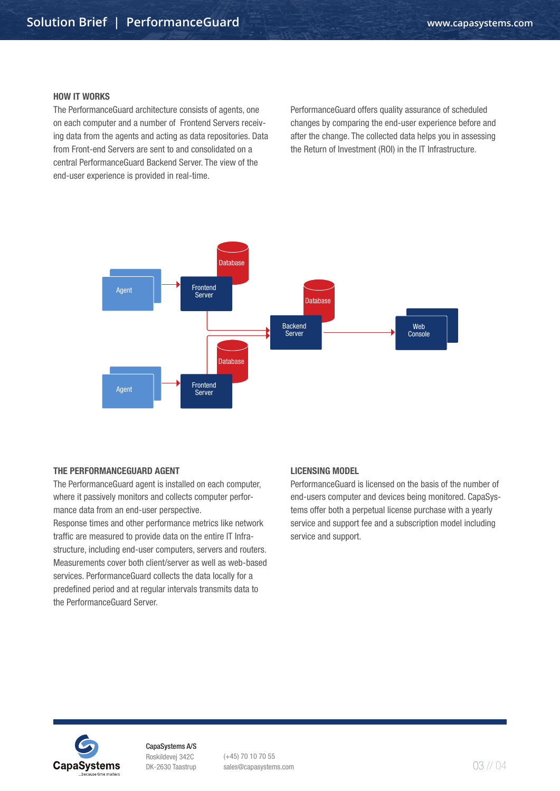#### HOW IT WORKS

The PerformanceGuard architecture consists of agents, one on each computer and a number of Frontend Servers receiving data from the agents and acting as data repositories. Data from Front-end Servers are sent to and consolidated on a central PerformanceGuard Backend Server. The view of the end-user experience is provided in real-time.

PerformanceGuard offers quality assurance of scheduled changes by comparing the end-user experience before and after the change. The collected data helps you in assessing the Return of Investment (ROI) in the IT Infrastructure.



#### THE PERFORMANCEGUARD AGENT

The PerformanceGuard agent is installed on each computer, where it passively monitors and collects computer performance data from an end-user perspective.

Response times and other performance metrics like network traffic are measured to provide data on the entire IT Infrastructure, including end-user computers, servers and routers. Measurements cover both client/server as well as web-based services. PerformanceGuard collects the data locally for a predefined period and at regular intervals transmits data to the PerformanceGuard Server.

#### LICENSING MODEL

PerformanceGuard is licensed on the basis of the number of end-users computer and devices being monitored. CapaSystems offer both a perpetual license purchase with a yearly service and support fee and a subscription model including service and support.



CapaSystems A/S Roskildevej 342C DK-2630 Taastrup

(+45) 70 10 70 55 sales@capasystems.com 03 // 04